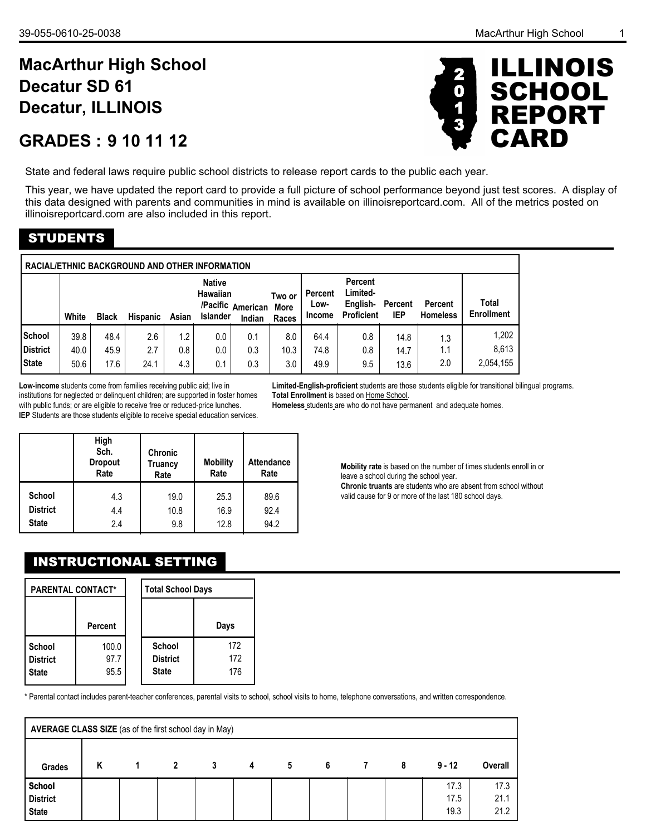# **MacArthur High School Decatur, ILLINOIS Decatur SD 61**

# **9 10 11 12 GRADES :**



State and federal laws require public school districts to release report cards to the public each year.

This year, we have updated the report card to provide a full picture of school performance beyond just test scores. A display of this data designed with parents and communities in mind is available on illinoisreportcard.com. All of the metrics posted on illinoisreportcard.com are also included in this report.

# STUDENTS

|                                                  | RACIAL/ETHNIC BACKGROUND AND OTHER INFORMATION                                                                                                                            |                      |                    |                   |                   |                   |                    |                           |                                                             |                       |                            |                             |  |  |
|--------------------------------------------------|---------------------------------------------------------------------------------------------------------------------------------------------------------------------------|----------------------|--------------------|-------------------|-------------------|-------------------|--------------------|---------------------------|-------------------------------------------------------------|-----------------------|----------------------------|-----------------------------|--|--|
|                                                  | <b>Native</b><br><b>Hawaiian</b><br>Two or<br>/Pacific American<br><b>More</b><br><b>Islander</b><br>White<br><b>Hispanic</b><br>Asian<br><b>Black</b><br>Indian<br>Races |                      |                    |                   |                   |                   |                    | Percent<br>Low-<br>Income | <b>Percent</b><br>Limited-<br>English-<br><b>Proficient</b> | <b>Percent</b><br>IEP | Percent<br><b>Homeless</b> | Total<br><b>Enrollment</b>  |  |  |
| <b>School</b><br><b>District</b><br><b>State</b> | 39.8<br>40.0<br>50.6                                                                                                                                                      | 48.4<br>45.9<br>17.6 | 2.6<br>2.7<br>24.1 | 1.2<br>0.8<br>4.3 | 0.0<br>0.0<br>0.1 | 0.1<br>0.3<br>0.3 | 8.0<br>10.3<br>3.0 | 64.4<br>74.8<br>49.9      | 0.8<br>0.8<br>9.5                                           | 14.8<br>14.7<br>13.6  | 1.3<br>1.1<br>2.0          | 1,202<br>8.613<br>2,054,155 |  |  |

**Low-income** students come from families receiving public aid; live in institutions for neglected or delinquent children; are supported in foster homes with public funds; or are eligible to receive free or reduced-price lunches. **IEP** Students are those students eligible to receive special education services. **Limited-English-proficient** students are those students eligible for transitional bilingual programs. **Total Enrollment** is based on Home School.

**Homeless** students are who do not have permanent and adequate homes.

|                 | High<br>Sch.<br><b>Dropout</b><br>Rate | <b>Chronic</b><br>Truancy<br>Rate | <b>Mobility</b><br>Rate | <b>Attendance</b><br>Rate |
|-----------------|----------------------------------------|-----------------------------------|-------------------------|---------------------------|
| School          | 4.3                                    | 19.0                              | 25.3                    | 89.6                      |
| <b>District</b> | 4.4                                    | 10.8                              | 16.9                    | 92.4                      |
| <b>State</b>    | 2.4                                    | 9.8                               | 12.8                    | 94.2                      |

**Mobility rate** is based on the number of times students enroll in or leave a school during the school year. **Chronic truants** are students who are absent from school without valid cause for 9 or more of the last 180 school days.

# INSTRUCTIONAL SETTING

| <b>PARENTAL CONTACT*</b>           |                       | <b>Total School Days</b>                  |                   |
|------------------------------------|-----------------------|-------------------------------------------|-------------------|
|                                    | <b>Percent</b>        |                                           | Days              |
| School<br>District<br><b>State</b> | 100.0<br>97.7<br>95.5 | School<br><b>District</b><br><b>State</b> | 172<br>172<br>176 |

\* Parental contact includes parent-teacher conferences, parental visits to school, school visits to home, telephone conversations, and written correspondence.

|                                           | AVERAGE CLASS SIZE (as of the first school day in May) |  |                |   |   |   |   |                |   |                      |                      |  |  |  |
|-------------------------------------------|--------------------------------------------------------|--|----------------|---|---|---|---|----------------|---|----------------------|----------------------|--|--|--|
| Grades                                    | K                                                      |  | $\overline{2}$ | 3 | 4 | 5 | 6 | $\overline{7}$ | 8 | $9 - 12$             | Overall              |  |  |  |
| School<br><b>District</b><br><b>State</b> |                                                        |  |                |   |   |   |   |                |   | 17.3<br>17.5<br>19.3 | 17.3<br>21.1<br>21.2 |  |  |  |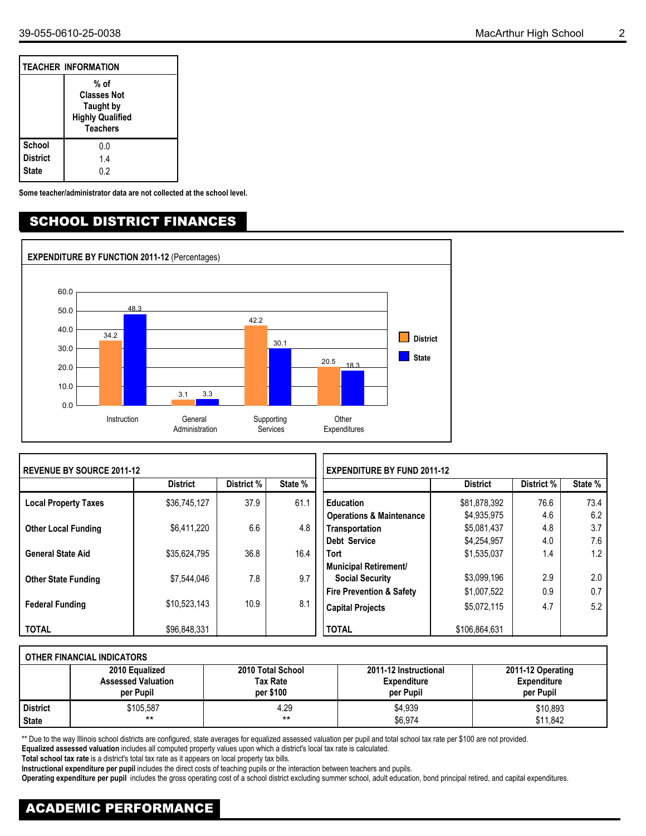|                                           | <b>TEACHER INFORMATION</b>                                                            |
|-------------------------------------------|---------------------------------------------------------------------------------------|
|                                           | % of<br><b>Classes Not</b><br>Taught by<br><b>Highly Qualified</b><br><b>Teachers</b> |
| <b>School</b><br><b>District</b><br>State | 0.0<br>1.4<br>0.2                                                                     |

**Some teacher/administrator data are not collected at the school level.**

#### SCHOOL DISTRICT FINANCES



| <b>REVENUE BY SOURCE 2011-12</b> |                 |            |         |                                     | <b>EXPENDITURE BY FUND 2011-12</b> |            |         |  |  |  |
|----------------------------------|-----------------|------------|---------|-------------------------------------|------------------------------------|------------|---------|--|--|--|
|                                  | <b>District</b> | District % | State % |                                     | <b>District</b>                    | District % | State % |  |  |  |
| <b>Local Property Taxes</b>      | \$36.745.127    | 37.9       | 61.1    | <b>Education</b>                    | \$81,878,392                       | 76.6       | 73.4    |  |  |  |
|                                  |                 |            |         | <b>Operations &amp; Maintenance</b> | \$4,935,975                        | 4.6        | 6.2     |  |  |  |
| <b>Other Local Funding</b>       | \$6.411.220     | 6.6        | 4.8     | Transportation                      | \$5,081,437                        | 4.8        | 3.7     |  |  |  |
|                                  |                 |            |         | Debt Service                        | \$4,254,957                        | 4.0        | 7.6     |  |  |  |
| <b>General State Aid</b>         | \$35.624.795    | 36.8       | 16.4    | <b>Tort</b>                         | \$1,535,037                        | 1.4        | 1.2     |  |  |  |
|                                  |                 |            |         | <b>Municipal Retirement/</b>        |                                    |            |         |  |  |  |
| <b>Other State Funding</b>       | \$7.544.046     | 7.8        | 9.7     | <b>Social Security</b>              | \$3,099,196                        | 2.9        | 2.0     |  |  |  |
|                                  |                 |            |         | <b>Fire Prevention &amp; Safety</b> | \$1,007,522                        | 0.9        | 0.7     |  |  |  |
| <b>Federal Funding</b>           | \$10.523.143    | 10.9       | 8.1     | <b>Capital Projects</b>             | \$5,072,115                        | 4.7        | 5.2     |  |  |  |
| <b>TOTAL</b>                     | \$96.848.331    |            |         | <b>TOTAL</b>                        | \$106.864.631                      |            |         |  |  |  |

|                 | OTHER FINANCIAL INDICATORS             |                              |                                 |                                 |  |  |  |  |  |  |  |  |  |
|-----------------|----------------------------------------|------------------------------|---------------------------------|---------------------------------|--|--|--|--|--|--|--|--|--|
|                 | 2010 Equalized                         | 2010 Total School            | 2011-12 Instructional           | 2011-12 Operating               |  |  |  |  |  |  |  |  |  |
|                 | <b>Assessed Valuation</b><br>per Pupil | <b>Tax Rate</b><br>per \$100 | <b>Expenditure</b><br>per Pupil | <b>Expenditure</b><br>per Pupil |  |  |  |  |  |  |  |  |  |
| <b>District</b> | \$105,587                              | 4.29                         | \$4,939                         | \$10,893                        |  |  |  |  |  |  |  |  |  |
| <b>State</b>    | $***$                                  | **                           | \$6,974                         | \$11,842                        |  |  |  |  |  |  |  |  |  |

\*\* Due to the way Illinois school districts are configured, state averages for equalized assessed valuation per pupil and total school tax rate per \$100 are not provided.

**Equalized assessed valuation** includes all computed property values upon which a district's local tax rate is calculated.

**Total school tax rate** is a district's total tax rate as it appears on local property tax bills.

**Instructional expenditure per pupil** includes the direct costs of teaching pupils or the interaction between teachers and pupils.

**Operating expenditure per pupil** includes the gross operating cost of a school district excluding summer school, adult education, bond principal retired, and capital expenditures.

# ACADEMIC PERFORMANCE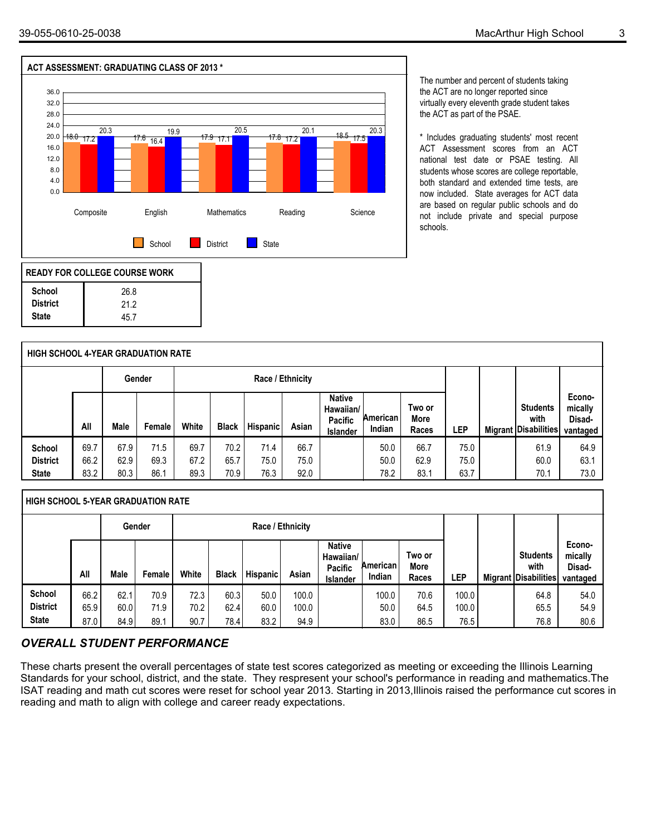

The number and percent of students taking the ACT are no longer reported since virtually every eleventh grade student takes the ACT as part of the PSAE.

\* Includes graduating students' most recent ACT Assessment scores from an ACT national test date or PSAE testing. All students whose scores are college reportable, both standard and extended time tests, are now included. State averages for ACT data are based on regular public schools and do not include private and special purpose schools.

|                                           | <b>HIGH SCHOOL 4-YEAR GRADUATION RATE</b> |                      |                      |                      |                      |                      |                      |                                                          |                      |                         |                      |  |                                                        |                                         |
|-------------------------------------------|-------------------------------------------|----------------------|----------------------|----------------------|----------------------|----------------------|----------------------|----------------------------------------------------------|----------------------|-------------------------|----------------------|--|--------------------------------------------------------|-----------------------------------------|
|                                           | Race / Ethnicity<br>Gender                |                      |                      |                      |                      |                      |                      |                                                          |                      |                         |                      |  |                                                        |                                         |
|                                           | All                                       | Male                 | Female               | White                | <b>Black</b>         | <b>Hispanic</b>      | Asian                | <b>Native</b><br>Hawaiian/<br><b>Pacific</b><br>Islander | American<br>Indian   | Two or<br>More<br>Races | LEP                  |  | <b>Students</b><br>with<br><b>Migrant Disabilities</b> | Econo-<br>mically<br>Disad-<br>vantaged |
| School<br><b>District</b><br><b>State</b> | 69.7<br>66.2<br>83.2                      | 67.9<br>62.9<br>80.3 | 71.5<br>69.3<br>86.1 | 69.7<br>67.2<br>89.3 | 70.2<br>65.7<br>70.9 | 71.4<br>75.0<br>76.3 | 66.7<br>75.0<br>92.0 |                                                          | 50.0<br>50.0<br>78.2 | 66.7<br>62.9<br>83.1    | 75.0<br>75.0<br>63.7 |  | 61.9<br>60.0<br>70.1                                   | 64.9<br>63.1<br>73.0                    |

|                           | <b>HIGH SCHOOL 5-YEAR GRADUATION RATE</b> |              |              |              |              |                 |                |                                                                 |                    |                         |                |  |                                                        |                                         |  |
|---------------------------|-------------------------------------------|--------------|--------------|--------------|--------------|-----------------|----------------|-----------------------------------------------------------------|--------------------|-------------------------|----------------|--|--------------------------------------------------------|-----------------------------------------|--|
|                           | Race / Ethnicity<br>Gender                |              |              |              |              |                 |                |                                                                 |                    |                         |                |  |                                                        |                                         |  |
|                           | All                                       | Male         | Female       | White        | <b>Black</b> | <b>Hispanic</b> | Asian          | <b>Native</b><br>Hawaiian/<br><b>Pacific</b><br><b>Islander</b> | American<br>Indian | Two or<br>More<br>Races | ∟EP            |  | <b>Students</b><br>with<br><b>Migrant Disabilities</b> | Econo-<br>mically<br>Disad-<br>vantaged |  |
| School<br><b>District</b> | 66.2<br>65.9                              | 62.1<br>60.0 | 70.9<br>71.9 | 72.3<br>70.2 | 60.3<br>62.4 | 50.0<br>60.0    | 100.0<br>100.0 |                                                                 | 100.0<br>50.0      | 70.6<br>64.5            | 100.0<br>100.0 |  | 64.8<br>65.5                                           | 54.0<br>54.9                            |  |
| <b>State</b>              | 87.0                                      | 84.9         | 89.1         | 90.7         | 78.4         | 83.2            | 94.9           |                                                                 | 83.0               | 86.5                    | 76.5           |  | 76.8                                                   | 80.6                                    |  |

#### *OVERALL STUDENT PERFORMANCE*

These charts present the overall percentages of state test scores categorized as meeting or exceeding the Illinois Learning Standards for your school, district, and the state. They respresent your school's performance in reading and mathematics.The ISAT reading and math cut scores were reset for school year 2013. Starting in 2013,Illinois raised the performance cut scores in reading and math to align with college and career ready expectations.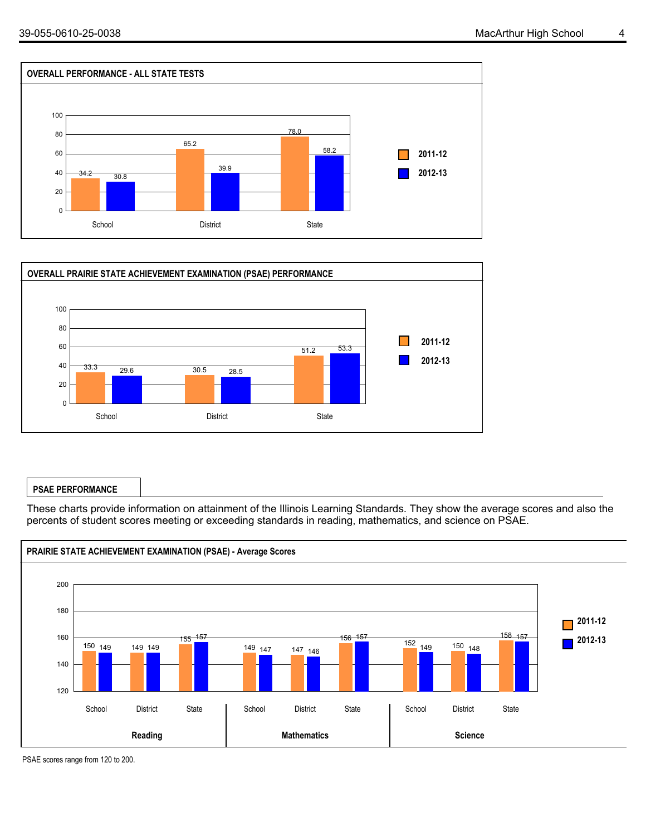



#### **PSAE PERFORMANCE**

These charts provide information on attainment of the Illinois Learning Standards. They show the average scores and also the percents of student scores meeting or exceeding standards in reading, mathematics, and science on PSAE.



PSAE scores range from 120 to 200.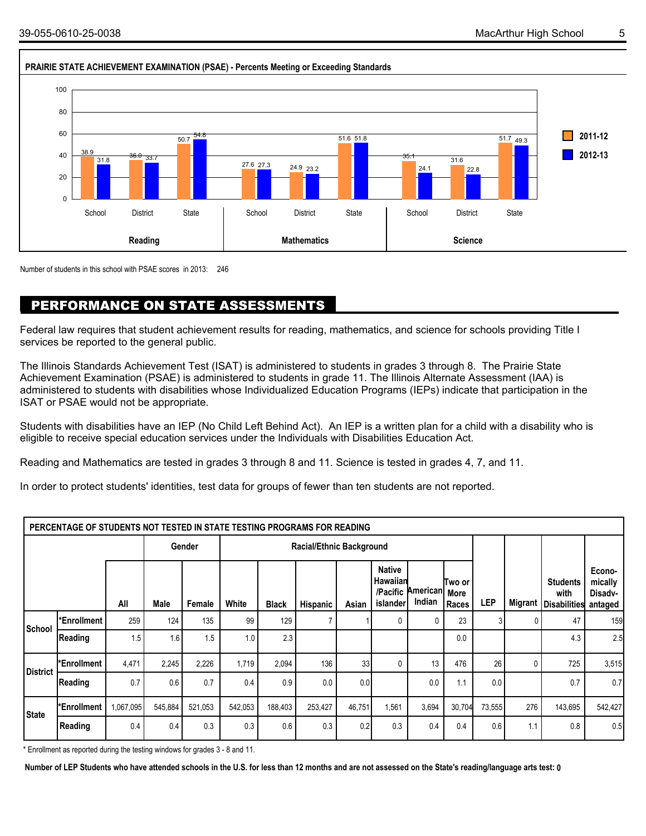

Number of students in this school with PSAE scores in 2013: 246

### PERFORMANCE ON STATE ASSESSMENTS

Federal law requires that student achievement results for reading, mathematics, and science for schools providing Title I services be reported to the general public.

The Illinois Standards Achievement Test (ISAT) is administered to students in grades 3 through 8. The Prairie State Achievement Examination (PSAE) is administered to students in grade 11. The Illinois Alternate Assessment (IAA) is administered to students with disabilities whose Individualized Education Programs (IEPs) indicate that participation in the ISAT or PSAE would not be appropriate.

Students with disabilities have an IEP (No Child Left Behind Act). An IEP is a written plan for a child with a disability who is eligible to receive special education services under the Individuals with Disabilities Education Act.

Reading and Mathematics are tested in grades 3 through 8 and 11. Science is tested in grades 4, 7, and 11.

In order to protect students' identities, test data for groups of fewer than ten students are not reported.

|                 | PERCENTAGE OF STUDENTS NOT TESTED IN STATE TESTING PROGRAMS FOR READING |           |         |         |         |              |                                 |        |                                                   |                           |                          |                 |                |                                            |                                         |
|-----------------|-------------------------------------------------------------------------|-----------|---------|---------|---------|--------------|---------------------------------|--------|---------------------------------------------------|---------------------------|--------------------------|-----------------|----------------|--------------------------------------------|-----------------------------------------|
|                 |                                                                         |           |         | Gender  |         |              | <b>Racial/Ethnic Background</b> |        |                                                   |                           |                          |                 |                |                                            |                                         |
|                 |                                                                         | All       | Male    | Female  | White   | <b>Black</b> | Hispanic                        | Asian  | <b>Native</b><br>Hawaiian<br>/Pacific<br>islander | <b>American</b><br>Indian | lTwo or<br>More<br>Races | LEP             | <b>Migrant</b> | <b>Students</b><br>with<br>l Disabilitiesl | Econo-<br>mically<br>Disadv-<br>antaged |
| School          | *Enrollment                                                             | 259       | 124     | 135     | 99      | 129          | $\overline{\phantom{a}}$        |        |                                                   |                           | 23                       |                 | 0              | 47                                         | 159                                     |
|                 | Reading                                                                 | 1.5       | 1.6     | 1.5     | 1.0     | 2.3          |                                 |        |                                                   |                           | 0.0                      |                 |                | 4.3                                        | 2.5                                     |
| <b>District</b> | *Enrollment                                                             | 4,471     | 2,245   | 2,226   | 1,719   | 2,094        | 136                             | 33     |                                                   | 13                        | 476                      | 26 <sub>1</sub> | 0              | 725                                        | 3,515                                   |
|                 | Reading                                                                 | 0.7       | 0.6     | 0.7     | 0.4     | 0.9          | 0.0                             | 0.0    |                                                   | 0.0                       | 1.1                      | 0.0             |                | 0.7                                        | 0.7                                     |
| <b>State</b>    | *Enrollment                                                             | 1,067,095 | 545,884 | 521,053 | 542,053 | 188,403      | 253,427                         | 46,751 | 1,561                                             | 3,694                     | 30,704                   | 73,555          | 276            | 143,695                                    | 542,427                                 |
|                 | Reading                                                                 | 0.4       | 0.4     | 0.3     | 0.3     | 0.6          | 0.3                             | 0.2    | 0.3                                               | 0.4                       | 0.4                      | 0.6             | 1.1            | 0.8                                        | 0.5                                     |

\* Enrollment as reported during the testing windows for grades 3 - 8 and 11.

**Number of LEP Students who have attended schools in the U.S. for less than 12 months and are not assessed on the State's reading/language arts test: 0**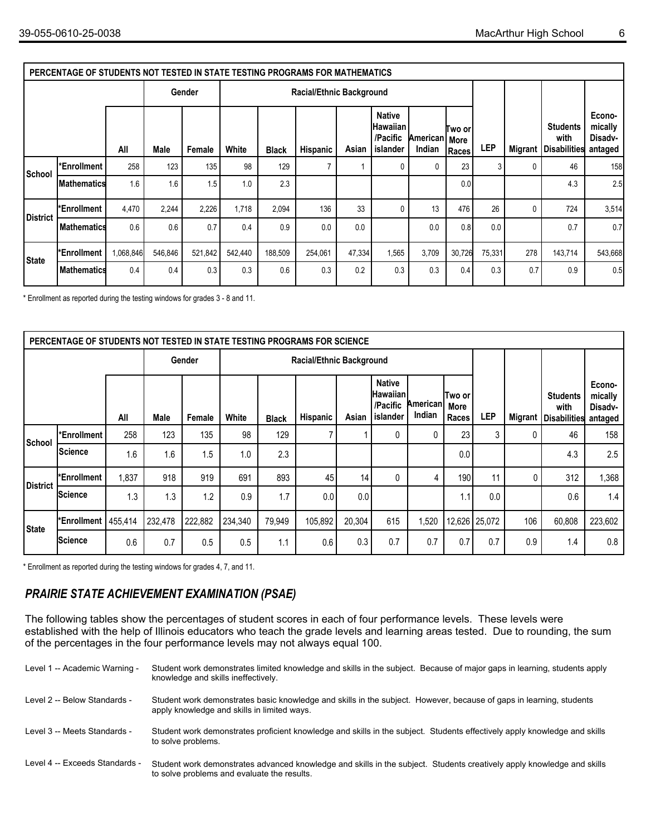|                 | PERCENTAGE OF STUDENTS NOT TESTED IN STATE TESTING PROGRAMS FOR MATHEMATICS |           |         |         |         |              |                                 |        |                                                          |                           |                   |        |                |                                                |                                         |
|-----------------|-----------------------------------------------------------------------------|-----------|---------|---------|---------|--------------|---------------------------------|--------|----------------------------------------------------------|---------------------------|-------------------|--------|----------------|------------------------------------------------|-----------------------------------------|
|                 |                                                                             |           |         | Gender  |         |              | <b>Racial/Ethnic Background</b> |        |                                                          |                           |                   |        |                |                                                |                                         |
|                 |                                                                             | All       | Male    | Female  | White   | <b>Black</b> | <b>Hispanic</b>                 | Asian  | <b>Native</b><br><b>Hawaiian</b><br>/Pacific<br>islander | American   More<br>Indian | lTwo orl<br>Races | LEP    | <b>Migrant</b> | <b>Students</b><br>with<br><b>Disabilities</b> | Econo-<br>mically<br>Disadv-<br>antaged |
| School          | *Enrollment                                                                 | 258       | 123     | 135     | 98      | 129          |                                 |        | 0                                                        | 0                         | 23                |        | $\mathbf{0}$   | 46                                             | 158                                     |
|                 | <b>IMathematics</b>                                                         | 1.6       | 1.6     | 1.5     | 1.0     | 2.3          |                                 |        |                                                          |                           | 0.0               |        |                | 4.3                                            | 2.5                                     |
| <b>District</b> | *Enrollment                                                                 | 4,470     | 2,244   | 2,226   | 1,718   | 2,094        | 136                             | 33     | $\mathbf 0$                                              | 13                        | 476               | 26     | 0              | 724                                            | 3,514                                   |
|                 | Mathematics                                                                 | 0.6       | 0.6     | 0.7     | 0.4     | 0.9          | 0.0                             | 0.0    |                                                          | 0.0                       | 0.8               | 0.0    |                | 0.7                                            | 0.7                                     |
| <b>State</b>    | *Enrollment                                                                 | 1,068,846 | 546,846 | 521,842 | 542,440 | 188,509      | 254,061                         | 47,334 | 1,565                                                    | 3,709                     | 30,726            | 75,331 | 278            | 143,714                                        | 543,668                                 |
|                 | l Mathematicst                                                              | 0.4       | 0.4     | 0.3     | 0.3     | 0.6          | 0.3                             | 0.2    | 0.3                                                      | 0.3                       | 0.4               | 0.3    | 0.7            | 0.9                                            | 0.5                                     |

\* Enrollment as reported during the testing windows for grades 3 - 8 and 11.

|                 | PERCENTAGE OF STUDENTS NOT TESTED IN STATE TESTING PROGRAMS FOR SCIENCE |         |         |         |         |              |                          |        |                                                   |                    |                         |                 |                |                                                |                                         |
|-----------------|-------------------------------------------------------------------------|---------|---------|---------|---------|--------------|--------------------------|--------|---------------------------------------------------|--------------------|-------------------------|-----------------|----------------|------------------------------------------------|-----------------------------------------|
|                 |                                                                         |         |         | Gender  |         |              | Racial/Ethnic Background |        |                                                   |                    |                         |                 |                |                                                |                                         |
|                 |                                                                         | All     | Male    | Female  | White   | <b>Black</b> | Hispanic                 | Asian  | <b>Native</b><br>Hawaiian<br>/Pacific<br>islander | American<br>Indian | Two or<br>More<br>Races | LEP             | <b>Migrant</b> | <b>Students</b><br>with<br><b>Disabilities</b> | Econo-<br>mically<br>Disadv-<br>antaged |
| School          | *Enrollment                                                             | 258     | 123     | 135     | 98      | 129          | 7                        |        | 0                                                 | 0                  | 23                      | 3               | 0              | 46                                             | 158                                     |
|                 | Science                                                                 | 1.6     | 1.6     | 1.5     | 1.0     | 2.3          |                          |        |                                                   |                    | 0.0                     |                 |                | 4.3                                            | 2.5                                     |
| <b>District</b> | *Enrollment                                                             | 1,837   | 918     | 919     | 691     | 893          | 45                       | 14     | 0                                                 | 4                  | 190                     | 11              | 0              | 312                                            | 1,368                                   |
|                 | Science                                                                 | 1.3     | 1.3     | 1.2     | 0.9     | 1.7          | 0.0                      | 0.0    |                                                   |                    | 1.1                     | 0.0             |                | 0.6                                            | 1.4                                     |
| <b>State</b>    | *Enrollment                                                             | 455,414 | 232,478 | 222,882 | 234,340 | 79,949       | 105,892                  | 20,304 | 615                                               | ,520               |                         | 12,626   25,072 | 106            | 60,808                                         | 223,602                                 |
|                 | <b>Science</b>                                                          | 0.6     | 0.7     | 0.5     | 0.5     | 1.1          | 0.6                      | 0.3    | 0.7                                               | 0.7                | 0.7                     | 0.7             | 0.9            | 1.4                                            | 0.8                                     |

\* Enrollment as reported during the testing windows for grades 4, 7, and 11.

### *PRAIRIE STATE ACHIEVEMENT EXAMINATION (PSAE)*

The following tables show the percentages of student scores in each of four performance levels. These levels were established with the help of Illinois educators who teach the grade levels and learning areas tested. Due to rounding, the sum of the percentages in the four performance levels may not always equal 100.

| Level 1 -- Academic Warning -  | Student work demonstrates limited knowledge and skills in the subject. Because of major gaps in learning, students apply<br>knowledge and skills ineffectively.       |
|--------------------------------|-----------------------------------------------------------------------------------------------------------------------------------------------------------------------|
| Level 2 -- Below Standards -   | Student work demonstrates basic knowledge and skills in the subject. However, because of gaps in learning, students<br>apply knowledge and skills in limited ways.    |
| Level 3 -- Meets Standards -   | Student work demonstrates proficient knowledge and skills in the subject. Students effectively apply knowledge and skills<br>to solve problems.                       |
| Level 4 -- Exceeds Standards - | Student work demonstrates advanced knowledge and skills in the subject. Students creatively apply knowledge and skills<br>to solve problems and evaluate the results. |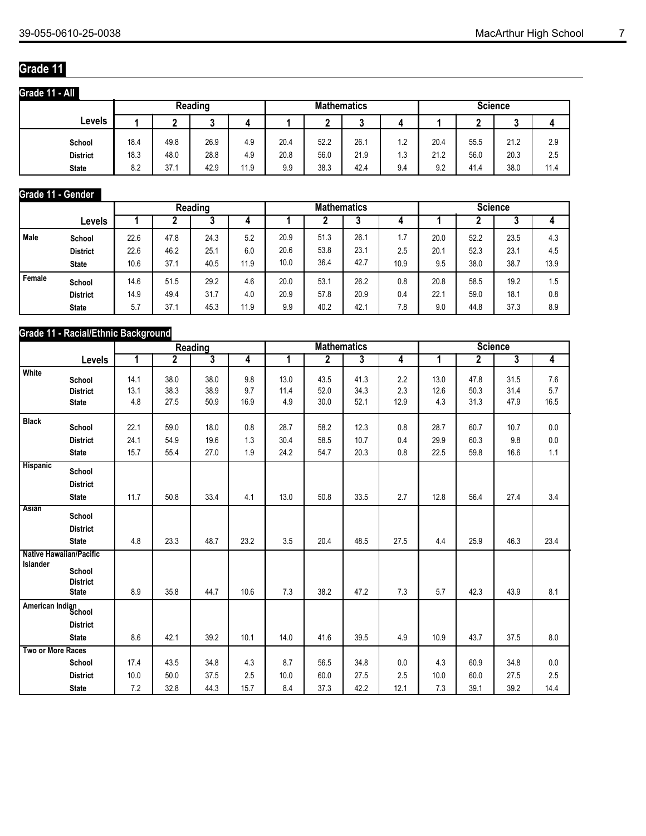## **Grade 11**

| Grade 11 - All  |      |      |         |      |      |                    |      |     |                |      |      |      |  |  |  |
|-----------------|------|------|---------|------|------|--------------------|------|-----|----------------|------|------|------|--|--|--|
|                 |      |      | Reading |      |      | <b>Mathematics</b> |      |     | <b>Science</b> |      |      |      |  |  |  |
| Levels          |      | ◠    | n<br>u  |      |      | ◠                  | J    | 4   |                | c    |      |      |  |  |  |
| School          | 18.4 | 49.8 | 26.9    | 4.9  | 20.4 | 52.2               | 26.7 | 1.2 | 20.4           | 55.5 | 21.2 | 2.9  |  |  |  |
| <b>District</b> | 18.3 | 48.0 | 28.8    | 4.9  | 20.8 | 56.0               | 21.9 | 3.ا | 21.2           | 56.0 | 20.3 | 2.5  |  |  |  |
| <b>State</b>    | 8.2  | 37.1 | 42.9    | 11.9 | 9.9  | 38.3               | 42.4 | 9.4 | 9.2            | 41.4 | 38.0 | 11.4 |  |  |  |

#### **Grade 11 - Gender**

|             |                 |      |      | Reading |      |      | <b>Mathematics</b> |      |           | <b>Science</b> |      |      |      |
|-------------|-----------------|------|------|---------|------|------|--------------------|------|-----------|----------------|------|------|------|
|             | Levels          |      |      | v       |      |      |                    | J    | 4         |                |      | υ    |      |
| <b>Male</b> | School          | 22.6 | 47.8 | 24.3    | 5.2  | 20.9 | 51.3               | 26.7 | 7<br>ı. ı | 20.0           | 52.2 | 23.5 | 4.3  |
|             | <b>District</b> | 22.6 | 46.2 | 25.1    | 6.0  | 20.6 | 53.8               | 23.1 | 2.5       | 20.1           | 52.3 | 23.1 | 4.5  |
|             | <b>State</b>    | 10.6 | 37.7 | 40.5    | 11.9 | 10.0 | 36.4               | 42.7 | 10.9      | 9.5            | 38.0 | 38.7 | 13.9 |
| Female      | School          | 14.6 | 51.5 | 29.2    | 4.6  | 20.0 | 53.1               | 26.2 | 0.8       | 20.8           | 58.5 | 19.2 | 1.5  |
|             | <b>District</b> | 14.9 | 49.4 | 31.7    | 4.0  | 20.9 | 57.8               | 20.9 | 0.4       | 22.7           | 59.0 | 18.1 | 0.8  |
|             | <b>State</b>    | 5.7  | 37.7 | 45.3    | 11.9 | 9.9  | 40.2               | 42.1 | 7.8       | 9.0            | 44.8 | 37.3 | 8.9  |

#### **Grade 11 - Racial/Ethnic Background**

|                   |                                |      |                | <b>Reading</b>          |      | <b>Mathematics</b> |                |                         |                | <b>Science</b> |                |      |                |
|-------------------|--------------------------------|------|----------------|-------------------------|------|--------------------|----------------|-------------------------|----------------|----------------|----------------|------|----------------|
|                   | Levels                         | 1    | $\overline{2}$ | $\overline{\mathbf{3}}$ | 4    | 1                  | $\overline{2}$ | $\overline{\mathbf{3}}$ | $\overline{4}$ | 1              | $\overline{2}$ | 3    | $\overline{4}$ |
| White             | School                         | 14.1 | 38.0           | 38.0                    | 9.8  | 13.0               | 43.5           | 41.3                    | 2.2            | 13.0           | 47.8           | 31.5 | 7.6            |
|                   | <b>District</b>                | 13.1 | 38.3           | 38.9                    | 9.7  | 11.4               | 52.0           | 34.3                    | 2.3            | 12.6           | 50.3           | 31.4 | 5.7            |
|                   | <b>State</b>                   | 4.8  | 27.5           | 50.9                    | 16.9 | 4.9                | 30.0           | 52.1                    | 12.9           | 4.3            | 31.3           | 47.9 | 16.5           |
| <b>Black</b>      | School                         | 22.1 | 59.0           | 18.0                    | 0.8  | 28.7               | 58.2           | 12.3                    | 0.8            | 28.7           | 60.7           | 10.7 | 0.0            |
|                   | <b>District</b>                | 24.1 | 54.9           | 19.6                    | 1.3  | 30.4               | 58.5           | 10.7                    | 0.4            | 29.9           | 60.3           | 9.8  | 0.0            |
|                   | <b>State</b>                   | 15.7 | 55.4           | 27.0                    | 1.9  | 24.2               | 54.7           | 20.3                    | 0.8            | 22.5           | 59.8           | 16.6 | 1.1            |
| Hispanic          | School                         |      |                |                         |      |                    |                |                         |                |                |                |      |                |
|                   | <b>District</b>                |      |                |                         |      |                    |                |                         |                |                |                |      |                |
|                   | <b>State</b>                   | 11.7 | 50.8           | 33.4                    | 4.1  | 13.0               | 50.8           | 33.5                    | 2.7            | 12.8           | 56.4           | 27.4 | 3.4            |
| <b>Asian</b>      | School                         |      |                |                         |      |                    |                |                         |                |                |                |      |                |
|                   | <b>District</b>                |      |                |                         |      |                    |                |                         |                |                |                |      |                |
|                   | <b>State</b>                   | 4.8  | 23.3           | 48.7                    | 23.2 | 3.5                | 20.4           | 48.5                    | 27.5           | 4.4            | 25.9           | 46.3 | 23.4           |
|                   | <b>Native Hawaiian/Pacific</b> |      |                |                         |      |                    |                |                         |                |                |                |      |                |
| Islander          | School<br><b>District</b>      |      |                |                         |      |                    |                |                         |                |                |                |      |                |
|                   | <b>State</b>                   | 8.9  | 35.8           | 44.7                    | 10.6 | 7.3                | 38.2           | 47.2                    | 7.3            | 5.7            | 42.3           | 43.9 | 8.1            |
|                   | American Indian<br>School      |      |                |                         |      |                    |                |                         |                |                |                |      |                |
|                   | <b>District</b>                |      |                |                         |      |                    |                |                         |                |                |                |      |                |
|                   | <b>State</b>                   | 8.6  | 42.1           | 39.2                    | 10.1 | 14.0               | 41.6           | 39.5                    | 4.9            | 10.9           | 43.7           | 37.5 | 8.0            |
| Two or More Races |                                |      |                |                         |      |                    |                |                         |                |                |                |      |                |
|                   | School                         | 17.4 | 43.5           | 34.8                    | 4.3  | 8.7                | 56.5           | 34.8                    | 0.0            | 4.3            | 60.9           | 34.8 | 0.0            |
|                   | <b>District</b>                | 10.0 | 50.0           | 37.5                    | 2.5  | 10.0               | 60.0           | 27.5                    | 2.5            | 10.0           | 60.0           | 27.5 | 2.5            |
|                   | <b>State</b>                   | 7.2  | 32.8           | 44.3                    | 15.7 | 8.4                | 37.3           | 42.2                    | 12.1           | 7.3            | 39.1           | 39.2 | 14.4           |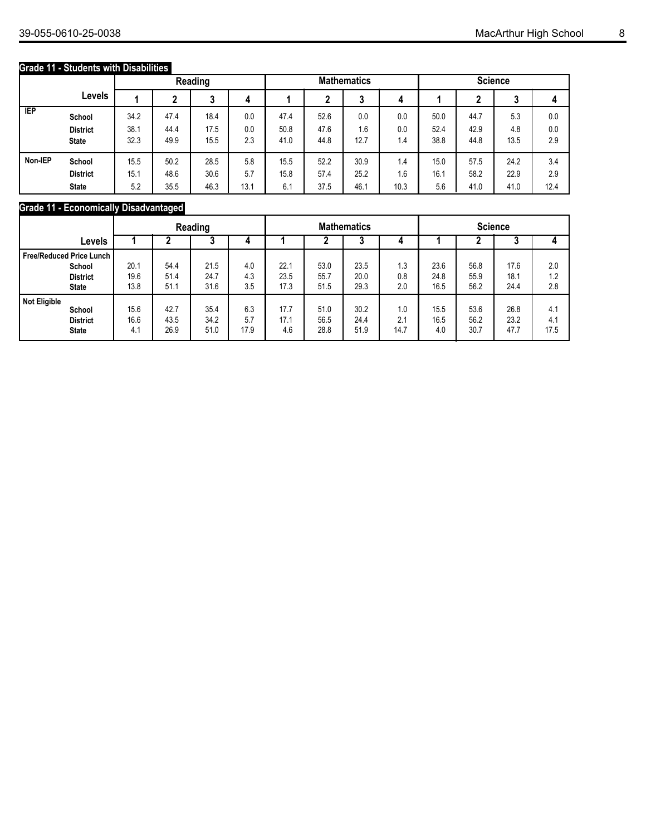#### **Grade 11 - Students with Disabilities**

|            |                 |      |      | Reading |      |      |      | <b>Mathematics</b> |      | <b>Science</b> |      |        |      |
|------------|-----------------|------|------|---------|------|------|------|--------------------|------|----------------|------|--------|------|
|            | Levels          |      | c    | w       | 4    |      | ◠    | ≏<br>J             | 4    |                |      | ◠<br>J |      |
| <b>IEP</b> | School          | 34.2 | 47.4 | 18.4    | 0.0  | 47.4 | 52.6 | 0.0                | 0.0  | 50.0           | 44.7 | 5.3    | 0.0  |
|            | <b>District</b> | 38.1 | 44.4 | 17.5    | 0.0  | 50.8 | 47.6 | 1.6                | 0.0  | 52.4           | 42.9 | 4.8    | 0.0  |
|            | <b>State</b>    | 32.3 | 49.9 | 15.5    | 2.3  | 41.0 | 44.8 | 12.7               | 1.4  | 38.8           | 44.8 | 13.5   | 2.9  |
| Non-IEP    | School          | 15.5 | 50.2 | 28.5    | 5.8  | 15.5 | 52.2 | 30.9               | 1.4  | 15.0           | 57.5 | 24.2   | 3.4  |
|            | <b>District</b> | 15.1 | 48.6 | 30.6    | 5.7  | 15.8 | 57.4 | 25.2               | 1.6  | 16.1           | 58.2 | 22.9   | 2.9  |
|            | <b>State</b>    | 5.2  | 35.5 | 46.3    | 13.1 | 6.1  | 37.5 | 46.1               | 10.3 | 5.6            | 41.0 | 41.0   | 12.4 |

#### **Grade 11 - Economically Disadvantaged**

|                                                                           | Reading              |                      |                      |                    | <b>Mathematics</b>   |                      |                      |                    | <b>Science</b>       |                      |                      |                    |
|---------------------------------------------------------------------------|----------------------|----------------------|----------------------|--------------------|----------------------|----------------------|----------------------|--------------------|----------------------|----------------------|----------------------|--------------------|
| Levels                                                                    |                      |                      | J                    |                    |                      |                      | J                    | 4                  |                      |                      | J                    |                    |
| l Free/Reduced Price Lunch I<br>School<br><b>District</b><br><b>State</b> | 20.1<br>19.6<br>13.8 | 54.4<br>51.4<br>51.1 | 21.5<br>24.7<br>31.6 | 4.0<br>4.3<br>3.5  | 22.1<br>23.5<br>17.3 | 53.0<br>55.7<br>51.5 | 23.5<br>20.0<br>29.3 | 1.3<br>0.8<br>2.0  | 23.6<br>24.8<br>16.5 | 56.8<br>55.9<br>56.2 | 17.6<br>18.1<br>24.4 | 2.0<br>1.2<br>2.8  |
| Not Eligible<br>School<br><b>District</b><br><b>State</b>                 | 15.6<br>16.6<br>4.1  | 42.7<br>43.5<br>26.9 | 35.4<br>34.2<br>51.0 | 6.3<br>5.7<br>17.9 | 17.7<br>17.1<br>4.6  | 51.0<br>56.5<br>28.8 | 30.2<br>24.4<br>51.9 | 1.0<br>2.1<br>14.7 | 15.5<br>16.5<br>4.0  | 53.6<br>56.2<br>30.7 | 26.8<br>23.2<br>47.7 | 4.1<br>4.1<br>17.5 |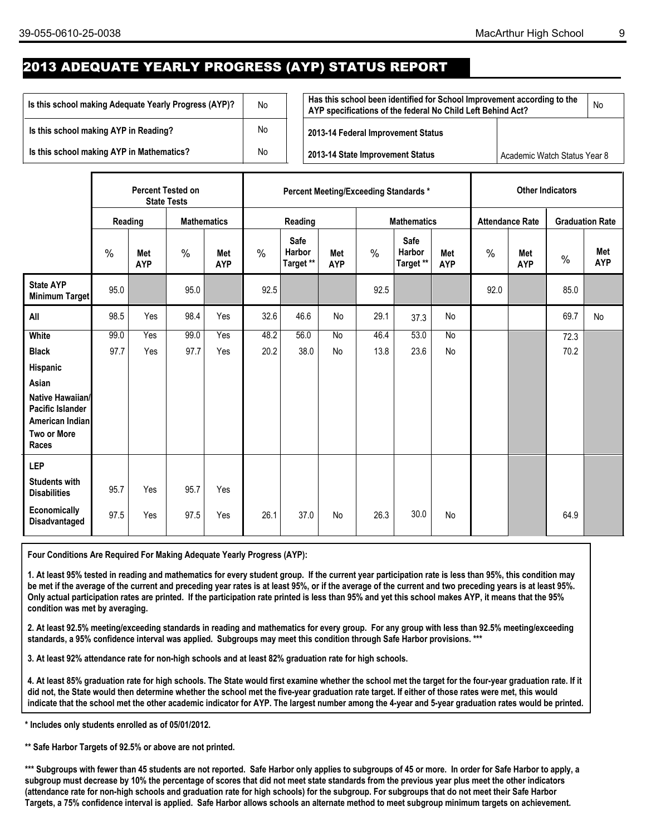### 2013 ADEQUATE YEARLY PROGRESS (AYP) STATUS REPORT

| Is this school making Adequate Yearly Progress (AYP)? | No | Has this school been identified for School Improvement according to the<br>AYP specifications of the federal No Child Left Behind Act? |                              | No |
|-------------------------------------------------------|----|----------------------------------------------------------------------------------------------------------------------------------------|------------------------------|----|
| Is this school making AYP in Reading?                 | No | 2013-14 Federal Improvement Status                                                                                                     |                              |    |
| Is this school making AYP in Mathematics?             | No | 2013-14 State Improvement Status                                                                                                       | Academic Watch Status Year 8 |    |

|                                                                                        | <b>Percent Tested on</b><br><b>State Tests</b> |                   |                    |                   |               |                                    |                   |               | Percent Meeting/Exceeding Standards * |                          | <b>Other Indicators</b> |                        |               |                        |
|----------------------------------------------------------------------------------------|------------------------------------------------|-------------------|--------------------|-------------------|---------------|------------------------------------|-------------------|---------------|---------------------------------------|--------------------------|-------------------------|------------------------|---------------|------------------------|
|                                                                                        | Reading                                        |                   | <b>Mathematics</b> |                   |               | Reading                            |                   |               | <b>Mathematics</b>                    |                          |                         | <b>Attendance Rate</b> |               | <b>Graduation Rate</b> |
|                                                                                        | $\frac{0}{0}$                                  | Met<br><b>AYP</b> | $\frac{0}{0}$      | Met<br><b>AYP</b> | $\frac{0}{0}$ | <b>Safe</b><br>Harbor<br>Target ** | Met<br><b>AYP</b> | $\frac{0}{0}$ | Safe<br>Harbor<br>Target **           | <b>Met</b><br><b>AYP</b> | $\frac{0}{0}$           | Met<br><b>AYP</b>      | $\frac{0}{0}$ | Met<br><b>AYP</b>      |
| <b>State AYP</b><br>Minimum Target                                                     | 95.0                                           |                   | 95.0               |                   | 92.5          |                                    |                   | 92.5          |                                       |                          | 92.0                    |                        | 85.0          |                        |
| All                                                                                    | 98.5                                           | Yes               | 98.4               | Yes               | 32.6          | 46.6                               | No                | 29.1          | 37.3                                  | No                       |                         |                        | 69.7          | <b>No</b>              |
| <b>White</b>                                                                           | 99.0                                           | Yes               | 99.0               | Yes               | 48.2          | 56.0                               | <b>No</b>         | 46.4          | 53.0                                  | <b>No</b>                |                         |                        | 72.3          |                        |
| <b>Black</b>                                                                           | 97.7                                           | Yes               | 97.7               | Yes               | 20.2          | 38.0                               | <b>No</b>         | 13.8          | 23.6                                  | No                       |                         |                        | 70.2          |                        |
| Hispanic                                                                               |                                                |                   |                    |                   |               |                                    |                   |               |                                       |                          |                         |                        |               |                        |
| Asian                                                                                  |                                                |                   |                    |                   |               |                                    |                   |               |                                       |                          |                         |                        |               |                        |
| Native Hawaiian/<br>Pacific Islander<br>American Indian<br><b>Two or More</b><br>Races |                                                |                   |                    |                   |               |                                    |                   |               |                                       |                          |                         |                        |               |                        |
| <b>LEP</b>                                                                             |                                                |                   |                    |                   |               |                                    |                   |               |                                       |                          |                         |                        |               |                        |
| <b>Students with</b><br><b>Disabilities</b>                                            | 95.7                                           | Yes               | 95.7               | Yes               |               |                                    |                   |               |                                       |                          |                         |                        |               |                        |
| Economically<br>Disadvantaged                                                          | 97.5                                           | Yes               | 97.5               | Yes               | 26.1          | 37.0                               | <b>No</b>         | 26.3          | 30.0                                  | No                       |                         |                        | 64.9          |                        |

**Four Conditions Are Required For Making Adequate Yearly Progress (AYP):**

**1. At least 95% tested in reading and mathematics for every student group. If the current year participation rate is less than 95%, this condition may be met if the average of the current and preceding year rates is at least 95%, or if the average of the current and two preceding years is at least 95%. Only actual participation rates are printed. If the participation rate printed is less than 95% and yet this school makes AYP, it means that the 95% condition was met by averaging.**

**2. At least 92.5% meeting/exceeding standards in reading and mathematics for every group. For any group with less than 92.5% meeting/exceeding standards, a 95% confidence interval was applied. Subgroups may meet this condition through Safe Harbor provisions. \*\*\*** 

**3. At least 92% attendance rate for non-high schools and at least 82% graduation rate for high schools.**

**4. At least 85% graduation rate for high schools. The State would first examine whether the school met the target for the four-year graduation rate. If it did not, the State would then determine whether the school met the five-year graduation rate target. If either of those rates were met, this would indicate that the school met the other academic indicator for AYP. The largest number among the 4-year and 5-year graduation rates would be printed.** 

**\* Includes only students enrolled as of 05/01/2012.**

**\*\* Safe Harbor Targets of 92.5% or above are not printed.**

**\*\*\* Subgroups with fewer than 45 students are not reported. Safe Harbor only applies to subgroups of 45 or more. In order for Safe Harbor to apply, a subgroup must decrease by 10% the percentage of scores that did not meet state standards from the previous year plus meet the other indicators (attendance rate for non-high schools and graduation rate for high schools) for the subgroup. For subgroups that do not meet their Safe Harbor Targets, a 75% confidence interval is applied. Safe Harbor allows schools an alternate method to meet subgroup minimum targets on achievement.**